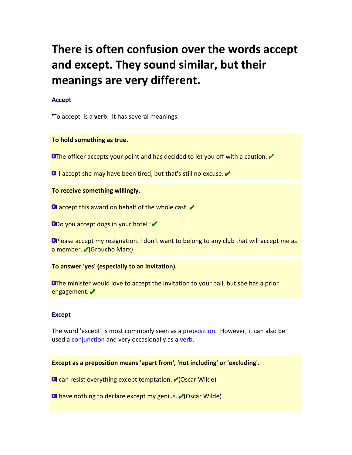# **There is often confusion over the words accept and except. They sound similar, but their meanings are very different.**

## **Accept**

'To accept' is a **verb**. It has several meanings:

#### **To hold something as true.**

**OThe officer accepts your point and has decided to let you off with a caution.** 

**D** I accept she may have been tired, but that's still no excuse.  $\blacktriangleright$ 

## **To receive something willingly.**

**D** accept this award on behalf of the whole cast.  $\mathbf{\nabla}$ 

DDo you accept dogs in your hotel? ✔

**OPlease accept my resignation. I don't want to belong to any club that will accept me as** a member. *I*(Groucho Marx)

#### **To answer 'yes' (especially to an invitation).**

**OThe minister would love to accept the invitation to your ball, but she has a prior** engagement.

#### **Except**

The word 'except' is most commonly seen as a preposition. However, it can also be used a conjunction and very occasionally as a verb.

**Except as a preposition means 'apart from', 'not including' or 'excluding'.** 

**D** can resist everything except temptation.  $\mathcal{I}(\text{Oscar Wilde})$ 

**D**I have nothing to declare except my genius. **√**(Oscar Wilde)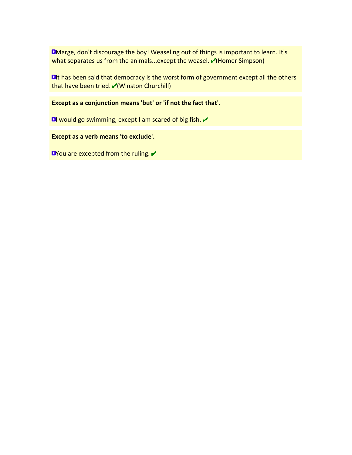Marge, don't discourage the boy! Weaseling out of things is important to learn. It's what separates us from the animals...except the weasel. **/**(Homer Simpson)

DIt has been said that democracy is the worst form of government except all the others that have been tried. (Winston Churchill)

**Except as a conjunction means 'but' or 'if not the fact that'.** 

**D** would go swimming, except I am scared of big fish.  $\blacktriangleright$ 

**Except as a verb means 'to exclude'.**

DYou are excepted from the ruling. ✔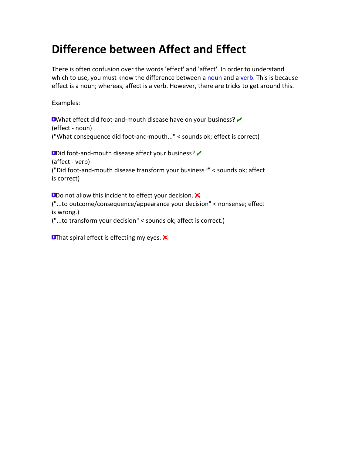# **Difference between Affect and Effect**

There is often confusion over the words 'effect' and 'affect'. In order to understand which to use, you must know the difference between a noun and a verb. This is because effect is a noun; whereas, affect is a verb. However, there are tricks to get around this.

Examples:

**■What effect did foot-and-mouth disease have on your business?** (effect - noun) ("What consequence did foot-and-mouth..." < sounds ok; effect is correct)

Did foot-and-mouth disease affect your business?  $\checkmark$ (affect - verb) ("Did foot-and-mouth disease transform your business?" < sounds ok; affect is correct)

**ODo not allow this incident to effect your decision.**  $\mathsf{X}$ ("...to outcome/consequence/appearance your decision" < nonsense; effect is wrong.) ("...to transform your decision" < sounds ok; affect is correct.)

**D**That spiral effect is effecting my eyes. X